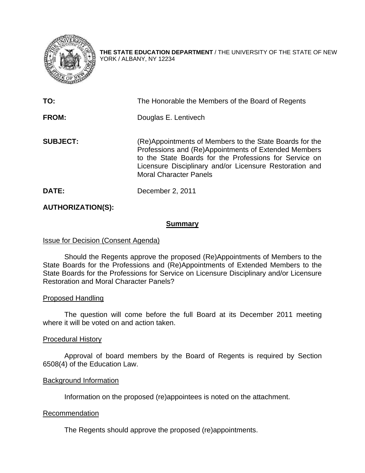

**THE STATE EDUCATION DEPARTMENT** / THE UNIVERSITY OF THE STATE OF NEW YORK / ALBANY, NY 12234

| TO:             | The Honorable the Members of the Board of Regents                                                                                                                                                                                                                     |
|-----------------|-----------------------------------------------------------------------------------------------------------------------------------------------------------------------------------------------------------------------------------------------------------------------|
| FROM:           | Douglas E. Lentivech                                                                                                                                                                                                                                                  |
| <b>SUBJECT:</b> | (Re)Appointments of Members to the State Boards for the<br>Professions and (Re)Appointments of Extended Members<br>to the State Boards for the Professions for Service on<br>Licensure Disciplinary and/or Licensure Restoration and<br><b>Moral Character Panels</b> |
| DATE:           | December 2, 2011                                                                                                                                                                                                                                                      |

## **AUTHORIZATION(S):**

### **Summary**

### Issue for Decision (Consent Agenda)

 Should the Regents approve the proposed (Re)Appointments of Members to the State Boards for the Professions and (Re)Appointments of Extended Members to the State Boards for the Professions for Service on Licensure Disciplinary and/or Licensure Restoration and Moral Character Panels?

### Proposed Handling

The question will come before the full Board at its December 2011 meeting where it will be voted on and action taken.

### Procedural History

Approval of board members by the Board of Regents is required by Section 6508(4) of the Education Law.

### Background Information

Information on the proposed (re)appointees is noted on the attachment.

### **Recommendation**

The Regents should approve the proposed (re)appointments.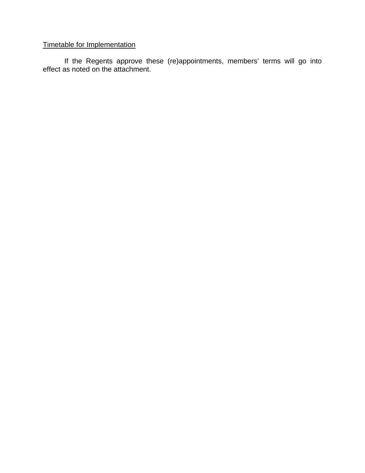# Timetable for Implementation

 If the Regents approve these (re)appointments, members' terms will go into effect as noted on the attachment.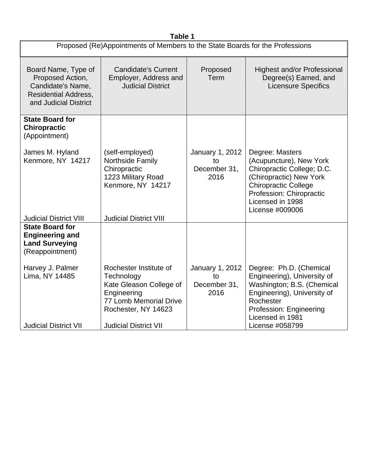| Table 1                                                                                                                       |                                                                                                                                                                        |                                               |                                                                                                                                                                                                       |  |  |  |
|-------------------------------------------------------------------------------------------------------------------------------|------------------------------------------------------------------------------------------------------------------------------------------------------------------------|-----------------------------------------------|-------------------------------------------------------------------------------------------------------------------------------------------------------------------------------------------------------|--|--|--|
| Proposed (Re)Appointments of Members to the State Boards for the Professions                                                  |                                                                                                                                                                        |                                               |                                                                                                                                                                                                       |  |  |  |
| Board Name, Type of<br>Proposed Action,<br>Candidate's Name,<br><b>Residential Address,</b><br>and Judicial District          | <b>Candidate's Current</b><br>Employer, Address and<br><b>Judicial District</b>                                                                                        | Proposed<br><b>Term</b>                       | <b>Highest and/or Professional</b><br>Degree(s) Earned, and<br><b>Licensure Specifics</b>                                                                                                             |  |  |  |
| <b>State Board for</b><br><b>Chiropractic</b><br>(Appointment)                                                                |                                                                                                                                                                        |                                               |                                                                                                                                                                                                       |  |  |  |
| James M. Hyland<br>Kenmore, NY 14217                                                                                          | (self-employed)<br>Northside Family<br>Chiropractic<br>1223 Military Road<br>Kenmore, NY 14217                                                                         | January 1, 2012<br>to<br>December 31,<br>2016 | Degree: Masters<br>(Acupuncture), New York<br>Chiropractic College; D.C.<br>(Chiropractic) New York<br><b>Chiropractic College</b><br>Profession: Chiropractic<br>Licensed in 1998<br>License #009006 |  |  |  |
| <b>Judicial District VIII</b><br><b>State Board for</b><br><b>Engineering and</b><br><b>Land Surveying</b><br>(Reappointment) | <b>Judicial District VIII</b>                                                                                                                                          |                                               |                                                                                                                                                                                                       |  |  |  |
| Harvey J. Palmer<br>Lima, NY 14485<br><b>Judicial District VII</b>                                                            | Rochester Institute of<br>Technology<br>Kate Gleason College of<br>Engineering<br><b>77 Lomb Memorial Drive</b><br>Rochester, NY 14623<br><b>Judicial District VII</b> | January 1, 2012<br>to<br>December 31,<br>2016 | Degree: Ph.D. (Chemical<br>Engineering), University of<br>Washington; B.S. (Chemical<br>Engineering), University of<br>Rochester<br>Profession: Engineering<br>Licensed in 1981<br>License #058799    |  |  |  |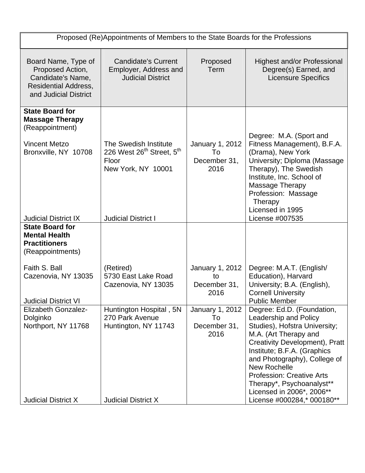| Proposed (Re)Appointments of Members to the State Boards for the Professions                                                                       |                                                                                                                                         |                                                      |                                                                                                                                                                                                                                                                           |  |  |
|----------------------------------------------------------------------------------------------------------------------------------------------------|-----------------------------------------------------------------------------------------------------------------------------------------|------------------------------------------------------|---------------------------------------------------------------------------------------------------------------------------------------------------------------------------------------------------------------------------------------------------------------------------|--|--|
| Board Name, Type of<br>Proposed Action,<br>Candidate's Name,<br><b>Residential Address,</b><br>and Judicial District                               | <b>Candidate's Current</b><br>Employer, Address and<br><b>Judicial District</b>                                                         | Proposed<br>Term                                     | <b>Highest and/or Professional</b><br>Degree(s) Earned, and<br><b>Licensure Specifics</b>                                                                                                                                                                                 |  |  |
| <b>State Board for</b><br><b>Massage Therapy</b><br>(Reappointment)<br><b>Vincent Metzo</b><br>Bronxville, NY 10708<br><b>Judicial District IX</b> | The Swedish Institute<br>226 West 26 <sup>th</sup> Street, 5 <sup>th</sup><br>Floor<br>New York, NY 10001<br><b>Judicial District I</b> | <b>January 1, 2012</b><br>To<br>December 31,<br>2016 | Degree: M.A. (Sport and<br>Fitness Management), B.F.A.<br>(Drama), New York<br>University; Diploma (Massage<br>Therapy), The Swedish<br>Institute, Inc. School of<br>Massage Therapy<br>Profession: Massage<br>Therapy<br>Licensed in 1995<br>License #007535             |  |  |
| <b>State Board for</b>                                                                                                                             |                                                                                                                                         |                                                      |                                                                                                                                                                                                                                                                           |  |  |
| <b>Mental Health</b><br><b>Practitioners</b><br>(Reappointments)                                                                                   |                                                                                                                                         |                                                      |                                                                                                                                                                                                                                                                           |  |  |
| Faith S. Ball<br>Cazenovia, NY 13035<br><b>Judicial District VI</b>                                                                                | (Retired)<br>5730 East Lake Road<br>Cazenovia, NY 13035                                                                                 | January 1, 2012<br>to<br>December 31,<br>2016        | Degree: M.A.T. (English/<br>Education), Harvard<br>University; B.A. (English),<br><b>Cornell University</b><br><b>Public Member</b>                                                                                                                                       |  |  |
| <b>Elizabeth Gonzalez-</b><br>Dolginko<br>Northport, NY 11768                                                                                      | Huntington Hospital, 5N<br>270 Park Avenue<br>Huntington, NY 11743                                                                      | January 1, 2012<br>To<br>December 31,                | Degree: Ed.D. (Foundation,<br>Leadership and Policy<br>Studies), Hofstra University;                                                                                                                                                                                      |  |  |
| <b>Judicial District X</b>                                                                                                                         | <b>Judicial District X</b>                                                                                                              | 2016                                                 | M.A. (Art Therapy and<br>Creativity Development), Pratt<br>Institute; B.F.A. (Graphics<br>and Photography), College of<br><b>New Rochelle</b><br><b>Profession: Creative Arts</b><br>Therapy*, Psychoanalyst**<br>Licensed in 2006*, 2006**<br>License #000284,* 000180** |  |  |